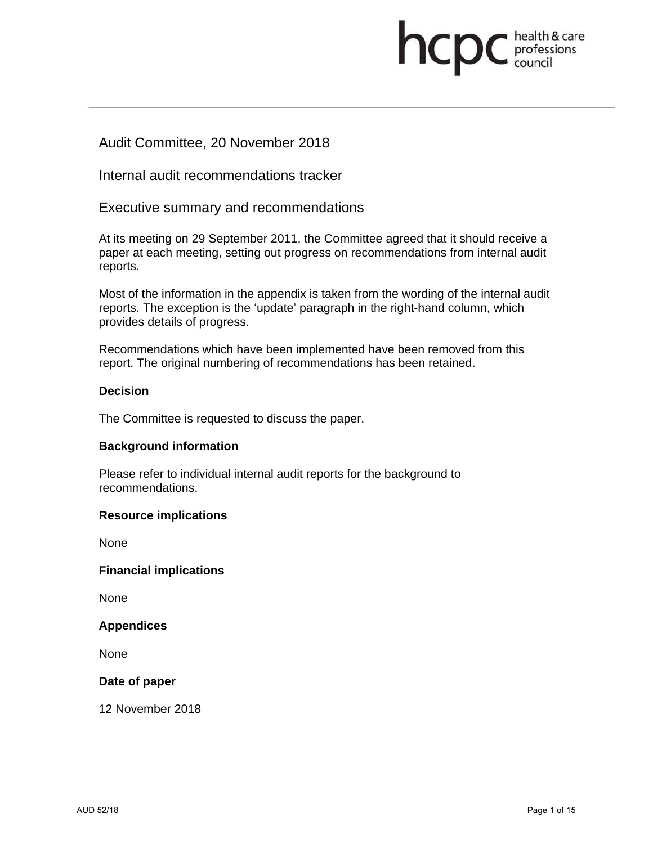# **health & care**

# Audit Committee, 20 November 2018

Internal audit recommendations tracker

Executive summary and recommendations

At its meeting on 29 September 2011, the Committee agreed that it should receive a paper at each meeting, setting out progress on recommendations from internal audit reports.

Most of the information in the appendix is taken from the wording of the internal audit reports. The exception is the 'update' paragraph in the right-hand column, which provides details of progress.

Recommendations which have been implemented have been removed from this report. The original numbering of recommendations has been retained.

## **Decision**

The Committee is requested to discuss the paper.

### **Background information**

Please refer to individual internal audit reports for the background to recommendations.

### **Resource implications**

None

### **Financial implications**

None

### **Appendices**

None

### **Date of paper**

12 November 2018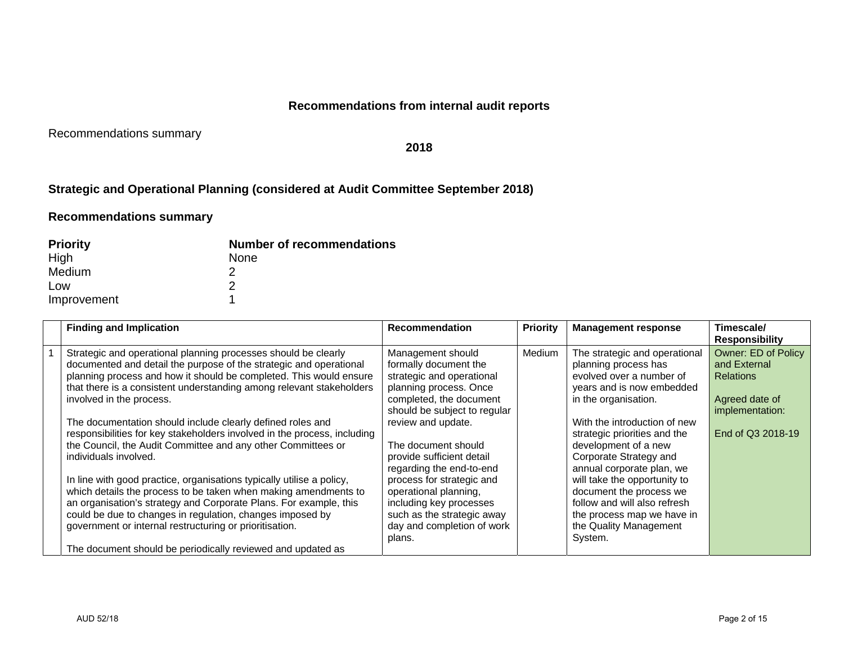## **Recommendations from internal audit reports**

Recommendations summary

**2018** 

## **Strategic and Operational Planning (considered at Audit Committee September 2018)**

## **Recommendations summary**

| <b>Priority</b> | <b>Number of recommendations</b> |
|-----------------|----------------------------------|
| High            | None                             |
| Medium          |                                  |
| Low             |                                  |
| Improvement     |                                  |

| <b>Finding and Implication</b>                                                                                                                                                                                                                                                                                                                                                                                                                                                                                                                                                                                                                                                                                                                                                                                                                                                             | <b>Recommendation</b>                                                                                                                                                                                                                                                                                                                                                                                                     | <b>Priority</b> | <b>Management response</b>                                                                                                                                                                                                                                                                                                                                                                                                                          | Timescale/<br><b>Responsibility</b>                                                                                      |
|--------------------------------------------------------------------------------------------------------------------------------------------------------------------------------------------------------------------------------------------------------------------------------------------------------------------------------------------------------------------------------------------------------------------------------------------------------------------------------------------------------------------------------------------------------------------------------------------------------------------------------------------------------------------------------------------------------------------------------------------------------------------------------------------------------------------------------------------------------------------------------------------|---------------------------------------------------------------------------------------------------------------------------------------------------------------------------------------------------------------------------------------------------------------------------------------------------------------------------------------------------------------------------------------------------------------------------|-----------------|-----------------------------------------------------------------------------------------------------------------------------------------------------------------------------------------------------------------------------------------------------------------------------------------------------------------------------------------------------------------------------------------------------------------------------------------------------|--------------------------------------------------------------------------------------------------------------------------|
| Strategic and operational planning processes should be clearly<br>documented and detail the purpose of the strategic and operational<br>planning process and how it should be completed. This would ensure<br>that there is a consistent understanding among relevant stakeholders<br>involved in the process.<br>The documentation should include clearly defined roles and<br>responsibilities for key stakeholders involved in the process, including<br>the Council, the Audit Committee and any other Committees or<br>individuals involved.<br>In line with good practice, organisations typically utilise a policy,<br>which details the process to be taken when making amendments to<br>an organisation's strategy and Corporate Plans. For example, this<br>could be due to changes in regulation, changes imposed by<br>government or internal restructuring or prioritisation. | Management should<br>formally document the<br>strategic and operational<br>planning process. Once<br>completed, the document<br>should be subject to regular<br>review and update.<br>The document should<br>provide sufficient detail<br>regarding the end-to-end<br>process for strategic and<br>operational planning,<br>including key processes<br>such as the strategic away<br>day and completion of work<br>plans. | Medium          | The strategic and operational<br>planning process has<br>evolved over a number of<br>years and is now embedded<br>in the organisation.<br>With the introduction of new<br>strategic priorities and the<br>development of a new<br>Corporate Strategy and<br>annual corporate plan, we<br>will take the opportunity to<br>document the process we<br>follow and will also refresh<br>the process map we have in<br>the Quality Management<br>System. | <b>Owner: ED of Policy</b><br>and External<br><b>Relations</b><br>Agreed date of<br>implementation:<br>End of Q3 2018-19 |
| The document should be periodically reviewed and updated as                                                                                                                                                                                                                                                                                                                                                                                                                                                                                                                                                                                                                                                                                                                                                                                                                                |                                                                                                                                                                                                                                                                                                                                                                                                                           |                 |                                                                                                                                                                                                                                                                                                                                                                                                                                                     |                                                                                                                          |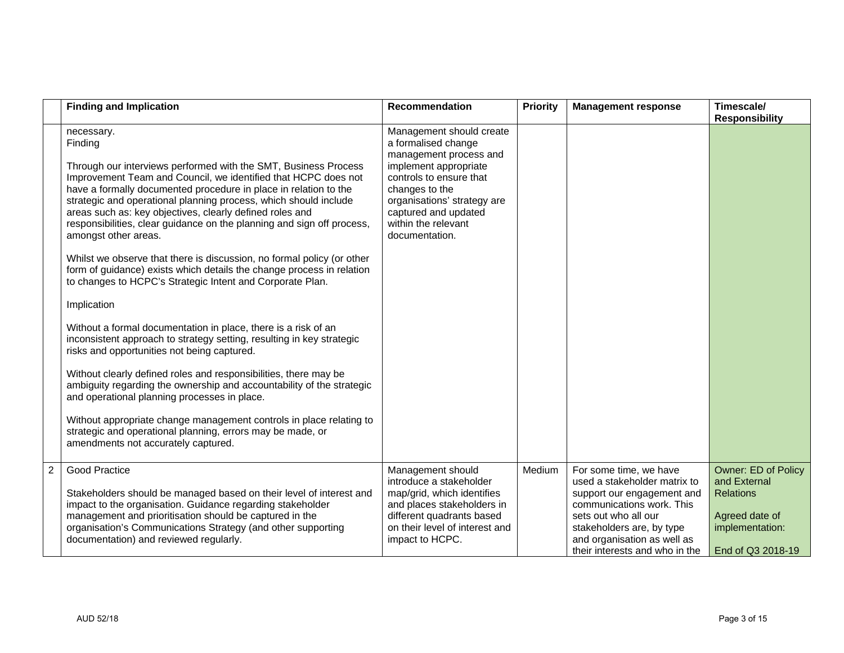|                | <b>Finding and Implication</b>                                                                                                                                                                                                                                                                                                                                                                                                                                                                                                                                                                                                                                                                                                                                                                                                                                                                                                                                                                                                                                                                                                                                                                                                                                     | Recommendation                                                                                                                                                                                                                                  | <b>Priority</b> | <b>Management response</b>                                                                                                                                                                                                              | Timescale/<br><b>Responsibility</b>                                                                                      |
|----------------|--------------------------------------------------------------------------------------------------------------------------------------------------------------------------------------------------------------------------------------------------------------------------------------------------------------------------------------------------------------------------------------------------------------------------------------------------------------------------------------------------------------------------------------------------------------------------------------------------------------------------------------------------------------------------------------------------------------------------------------------------------------------------------------------------------------------------------------------------------------------------------------------------------------------------------------------------------------------------------------------------------------------------------------------------------------------------------------------------------------------------------------------------------------------------------------------------------------------------------------------------------------------|-------------------------------------------------------------------------------------------------------------------------------------------------------------------------------------------------------------------------------------------------|-----------------|-----------------------------------------------------------------------------------------------------------------------------------------------------------------------------------------------------------------------------------------|--------------------------------------------------------------------------------------------------------------------------|
|                | necessary.<br>Finding<br>Through our interviews performed with the SMT, Business Process<br>Improvement Team and Council, we identified that HCPC does not<br>have a formally documented procedure in place in relation to the<br>strategic and operational planning process, which should include<br>areas such as: key objectives, clearly defined roles and<br>responsibilities, clear guidance on the planning and sign off process,<br>amongst other areas.<br>Whilst we observe that there is discussion, no formal policy (or other<br>form of guidance) exists which details the change process in relation<br>to changes to HCPC's Strategic Intent and Corporate Plan.<br>Implication<br>Without a formal documentation in place, there is a risk of an<br>inconsistent approach to strategy setting, resulting in key strategic<br>risks and opportunities not being captured.<br>Without clearly defined roles and responsibilities, there may be<br>ambiguity regarding the ownership and accountability of the strategic<br>and operational planning processes in place.<br>Without appropriate change management controls in place relating to<br>strategic and operational planning, errors may be made, or<br>amendments not accurately captured. | Management should create<br>a formalised change<br>management process and<br>implement appropriate<br>controls to ensure that<br>changes to the<br>organisations' strategy are<br>captured and updated<br>within the relevant<br>documentation. |                 |                                                                                                                                                                                                                                         |                                                                                                                          |
| $\overline{2}$ | Good Practice<br>Stakeholders should be managed based on their level of interest and<br>impact to the organisation. Guidance regarding stakeholder<br>management and prioritisation should be captured in the<br>organisation's Communications Strategy (and other supporting<br>documentation) and reviewed regularly.                                                                                                                                                                                                                                                                                                                                                                                                                                                                                                                                                                                                                                                                                                                                                                                                                                                                                                                                            | Management should<br>introduce a stakeholder<br>map/grid, which identifies<br>and places stakeholders in<br>different quadrants based<br>on their level of interest and<br>impact to HCPC.                                                      | Medium          | For some time, we have<br>used a stakeholder matrix to<br>support our engagement and<br>communications work. This<br>sets out who all our<br>stakeholders are, by type<br>and organisation as well as<br>their interests and who in the | <b>Owner: ED of Policy</b><br>and External<br><b>Relations</b><br>Agreed date of<br>implementation:<br>End of Q3 2018-19 |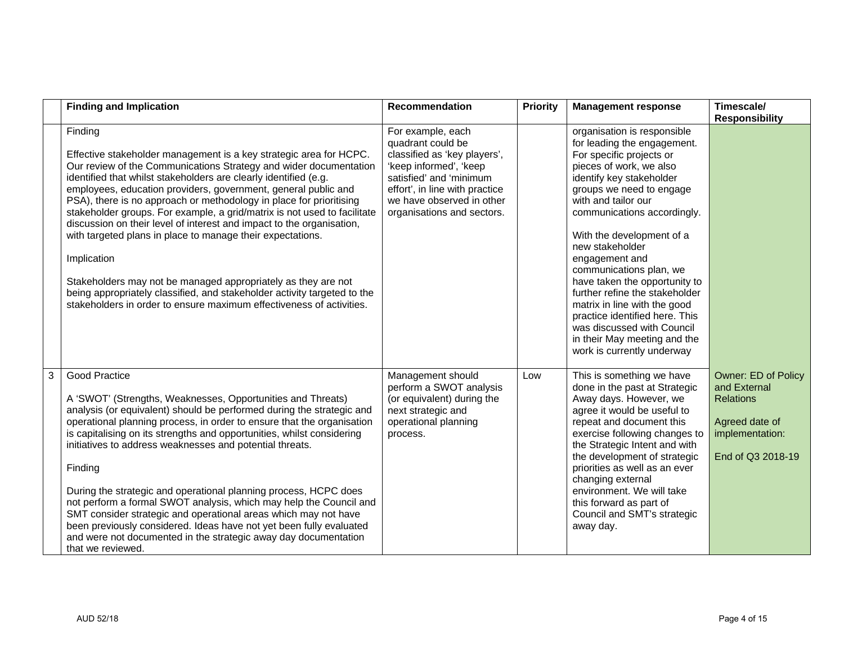|   | <b>Finding and Implication</b>                                                                                                                                                                                                                                                                                                                                                                                                                                                                                                                                                                                                                                                                                                                                                                                         | Recommendation                                                                                                                                                                                                           | <b>Priority</b> | <b>Management response</b>                                                                                                                                                                                                                                                                                                                                                                                                                                                                                                                                    | Timescale/<br><b>Responsibility</b>                                                                               |
|---|------------------------------------------------------------------------------------------------------------------------------------------------------------------------------------------------------------------------------------------------------------------------------------------------------------------------------------------------------------------------------------------------------------------------------------------------------------------------------------------------------------------------------------------------------------------------------------------------------------------------------------------------------------------------------------------------------------------------------------------------------------------------------------------------------------------------|--------------------------------------------------------------------------------------------------------------------------------------------------------------------------------------------------------------------------|-----------------|---------------------------------------------------------------------------------------------------------------------------------------------------------------------------------------------------------------------------------------------------------------------------------------------------------------------------------------------------------------------------------------------------------------------------------------------------------------------------------------------------------------------------------------------------------------|-------------------------------------------------------------------------------------------------------------------|
|   | Finding<br>Effective stakeholder management is a key strategic area for HCPC.<br>Our review of the Communications Strategy and wider documentation<br>identified that whilst stakeholders are clearly identified (e.g.<br>employees, education providers, government, general public and<br>PSA), there is no approach or methodology in place for prioritising<br>stakeholder groups. For example, a grid/matrix is not used to facilitate<br>discussion on their level of interest and impact to the organisation,<br>with targeted plans in place to manage their expectations.<br>Implication<br>Stakeholders may not be managed appropriately as they are not<br>being appropriately classified, and stakeholder activity targeted to the<br>stakeholders in order to ensure maximum effectiveness of activities. | For example, each<br>quadrant could be<br>classified as 'key players',<br>'keep informed', 'keep<br>satisfied' and 'minimum<br>effort', in line with practice<br>we have observed in other<br>organisations and sectors. |                 | organisation is responsible<br>for leading the engagement.<br>For specific projects or<br>pieces of work, we also<br>identify key stakeholder<br>groups we need to engage<br>with and tailor our<br>communications accordingly.<br>With the development of a<br>new stakeholder<br>engagement and<br>communications plan, we<br>have taken the opportunity to<br>further refine the stakeholder<br>matrix in line with the good<br>practice identified here. This<br>was discussed with Council<br>in their May meeting and the<br>work is currently underway |                                                                                                                   |
| 3 | Good Practice<br>A 'SWOT' (Strengths, Weaknesses, Opportunities and Threats)<br>analysis (or equivalent) should be performed during the strategic and<br>operational planning process, in order to ensure that the organisation<br>is capitalising on its strengths and opportunities, whilst considering<br>initiatives to address weaknesses and potential threats.<br>Finding<br>During the strategic and operational planning process, HCPC does<br>not perform a formal SWOT analysis, which may help the Council and<br>SMT consider strategic and operational areas which may not have<br>been previously considered. Ideas have not yet been fully evaluated<br>and were not documented in the strategic away day documentation<br>that we reviewed.                                                           | Management should<br>perform a SWOT analysis<br>(or equivalent) during the<br>next strategic and<br>operational planning<br>process.                                                                                     | Low             | This is something we have<br>done in the past at Strategic<br>Away days. However, we<br>agree it would be useful to<br>repeat and document this<br>exercise following changes to<br>the Strategic Intent and with<br>the development of strategic<br>priorities as well as an ever<br>changing external<br>environment. We will take<br>this forward as part of<br>Council and SMT's strategic<br>away day.                                                                                                                                                   | Owner: ED of Policy<br>and External<br><b>Relations</b><br>Agreed date of<br>implementation:<br>End of Q3 2018-19 |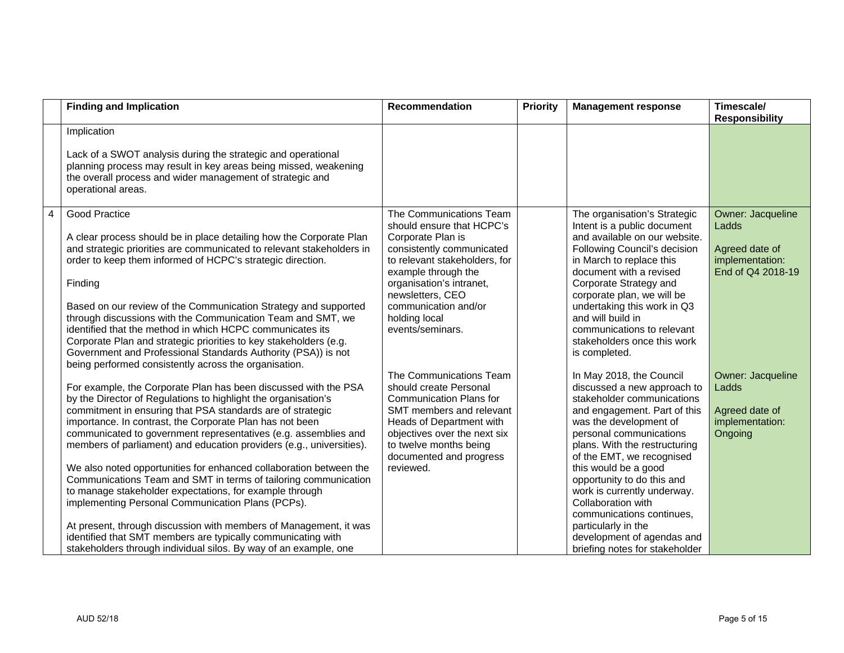|                | <b>Finding and Implication</b>                                                                                                                                                                                                                                                                                                                                                                                                                                                                                                                                                                                                                                                                                                                                                                                                                                           | <b>Recommendation</b>                                                                                                                                                                                                                                                       | Priority | <b>Management response</b>                                                                                                                                                                                                                                                                                                                                                                                                                                              | Timescale/<br><b>Responsibility</b>                                                  |
|----------------|--------------------------------------------------------------------------------------------------------------------------------------------------------------------------------------------------------------------------------------------------------------------------------------------------------------------------------------------------------------------------------------------------------------------------------------------------------------------------------------------------------------------------------------------------------------------------------------------------------------------------------------------------------------------------------------------------------------------------------------------------------------------------------------------------------------------------------------------------------------------------|-----------------------------------------------------------------------------------------------------------------------------------------------------------------------------------------------------------------------------------------------------------------------------|----------|-------------------------------------------------------------------------------------------------------------------------------------------------------------------------------------------------------------------------------------------------------------------------------------------------------------------------------------------------------------------------------------------------------------------------------------------------------------------------|--------------------------------------------------------------------------------------|
|                | Implication<br>Lack of a SWOT analysis during the strategic and operational<br>planning process may result in key areas being missed, weakening<br>the overall process and wider management of strategic and<br>operational areas.                                                                                                                                                                                                                                                                                                                                                                                                                                                                                                                                                                                                                                       |                                                                                                                                                                                                                                                                             |          |                                                                                                                                                                                                                                                                                                                                                                                                                                                                         |                                                                                      |
| $\overline{4}$ | Good Practice<br>A clear process should be in place detailing how the Corporate Plan<br>and strategic priorities are communicated to relevant stakeholders in<br>order to keep them informed of HCPC's strategic direction.<br>Finding<br>Based on our review of the Communication Strategy and supported<br>through discussions with the Communication Team and SMT, we<br>identified that the method in which HCPC communicates its<br>Corporate Plan and strategic priorities to key stakeholders (e.g.<br>Government and Professional Standards Authority (PSA)) is not<br>being performed consistently across the organisation.                                                                                                                                                                                                                                     | The Communications Team<br>should ensure that HCPC's<br>Corporate Plan is<br>consistently communicated<br>to relevant stakeholders, for<br>example through the<br>organisation's intranet,<br>newsletters, CEO<br>communication and/or<br>holding local<br>events/seminars. |          | The organisation's Strategic<br>Intent is a public document<br>and available on our website.<br>Following Council's decision<br>in March to replace this<br>document with a revised<br>Corporate Strategy and<br>corporate plan, we will be<br>undertaking this work in Q3<br>and will build in<br>communications to relevant<br>stakeholders once this work<br>is completed.                                                                                           | Owner: Jacqueline<br>Ladds<br>Agreed date of<br>implementation:<br>End of Q4 2018-19 |
|                | For example, the Corporate Plan has been discussed with the PSA<br>by the Director of Regulations to highlight the organisation's<br>commitment in ensuring that PSA standards are of strategic<br>importance. In contrast, the Corporate Plan has not been<br>communicated to government representatives (e.g. assemblies and<br>members of parliament) and education providers (e.g., universities).<br>We also noted opportunities for enhanced collaboration between the<br>Communications Team and SMT in terms of tailoring communication<br>to manage stakeholder expectations, for example through<br>implementing Personal Communication Plans (PCPs).<br>At present, through discussion with members of Management, it was<br>identified that SMT members are typically communicating with<br>stakeholders through individual silos. By way of an example, one | The Communications Team<br>should create Personal<br><b>Communication Plans for</b><br>SMT members and relevant<br>Heads of Department with<br>objectives over the next six<br>to twelve months being<br>documented and progress<br>reviewed.                               |          | In May 2018, the Council<br>discussed a new approach to<br>stakeholder communications<br>and engagement. Part of this<br>was the development of<br>personal communications<br>plans. With the restructuring<br>of the EMT, we recognised<br>this would be a good<br>opportunity to do this and<br>work is currently underway.<br>Collaboration with<br>communications continues,<br>particularly in the<br>development of agendas and<br>briefing notes for stakeholder | Owner: Jacqueline<br>Ladds<br>Agreed date of<br>implementation:<br>Ongoing           |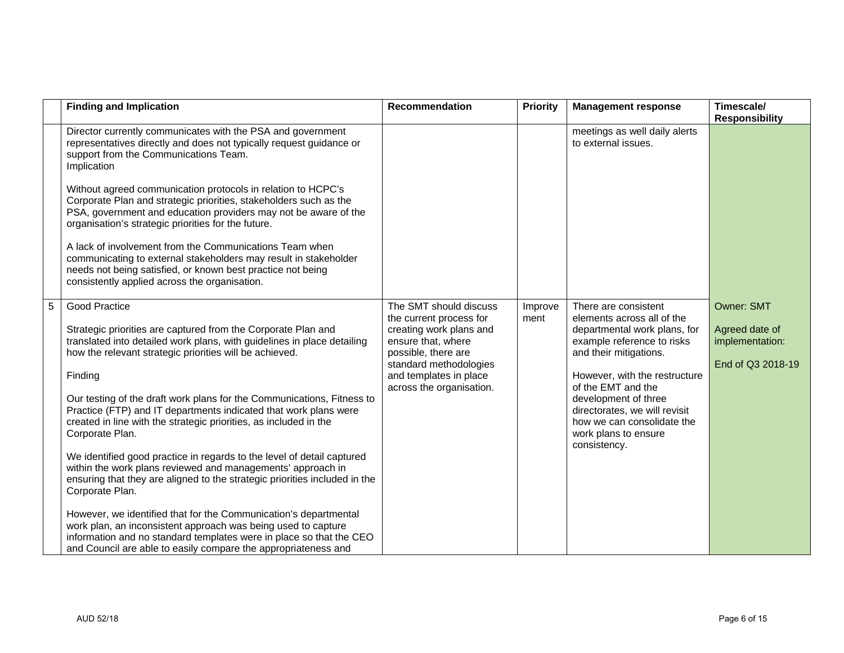|   | <b>Finding and Implication</b>                                                                                                                                                                                                                                                                                                                                                                                                                                                                                                                                                                                                                                                                                                                                                                                                                                                                                                                                                                | Recommendation                                                                                                                                                                                            | <b>Priority</b> | <b>Management response</b>                                                                                                                                                                                                                                                                                                       | Timescale/<br><b>Responsibility</b>                                         |
|---|-----------------------------------------------------------------------------------------------------------------------------------------------------------------------------------------------------------------------------------------------------------------------------------------------------------------------------------------------------------------------------------------------------------------------------------------------------------------------------------------------------------------------------------------------------------------------------------------------------------------------------------------------------------------------------------------------------------------------------------------------------------------------------------------------------------------------------------------------------------------------------------------------------------------------------------------------------------------------------------------------|-----------------------------------------------------------------------------------------------------------------------------------------------------------------------------------------------------------|-----------------|----------------------------------------------------------------------------------------------------------------------------------------------------------------------------------------------------------------------------------------------------------------------------------------------------------------------------------|-----------------------------------------------------------------------------|
|   | Director currently communicates with the PSA and government<br>representatives directly and does not typically request guidance or<br>support from the Communications Team.<br>Implication<br>Without agreed communication protocols in relation to HCPC's<br>Corporate Plan and strategic priorities, stakeholders such as the<br>PSA, government and education providers may not be aware of the<br>organisation's strategic priorities for the future.<br>A lack of involvement from the Communications Team when<br>communicating to external stakeholders may result in stakeholder<br>needs not being satisfied, or known best practice not being                                                                                                                                                                                                                                                                                                                                       |                                                                                                                                                                                                           |                 | meetings as well daily alerts<br>to external issues.                                                                                                                                                                                                                                                                             |                                                                             |
|   | consistently applied across the organisation.                                                                                                                                                                                                                                                                                                                                                                                                                                                                                                                                                                                                                                                                                                                                                                                                                                                                                                                                                 |                                                                                                                                                                                                           |                 |                                                                                                                                                                                                                                                                                                                                  |                                                                             |
| 5 | Good Practice<br>Strategic priorities are captured from the Corporate Plan and<br>translated into detailed work plans, with guidelines in place detailing<br>how the relevant strategic priorities will be achieved.<br>Finding<br>Our testing of the draft work plans for the Communications, Fitness to<br>Practice (FTP) and IT departments indicated that work plans were<br>created in line with the strategic priorities, as included in the<br>Corporate Plan.<br>We identified good practice in regards to the level of detail captured<br>within the work plans reviewed and managements' approach in<br>ensuring that they are aligned to the strategic priorities included in the<br>Corporate Plan.<br>However, we identified that for the Communication's departmental<br>work plan, an inconsistent approach was being used to capture<br>information and no standard templates were in place so that the CEO<br>and Council are able to easily compare the appropriateness and | The SMT should discuss<br>the current process for<br>creating work plans and<br>ensure that, where<br>possible, there are<br>standard methodologies<br>and templates in place<br>across the organisation. | Improve<br>ment | There are consistent<br>elements across all of the<br>departmental work plans, for<br>example reference to risks<br>and their mitigations.<br>However, with the restructure<br>of the EMT and the<br>development of three<br>directorates, we will revisit<br>how we can consolidate the<br>work plans to ensure<br>consistency. | <b>Owner: SMT</b><br>Agreed date of<br>implementation:<br>End of Q3 2018-19 |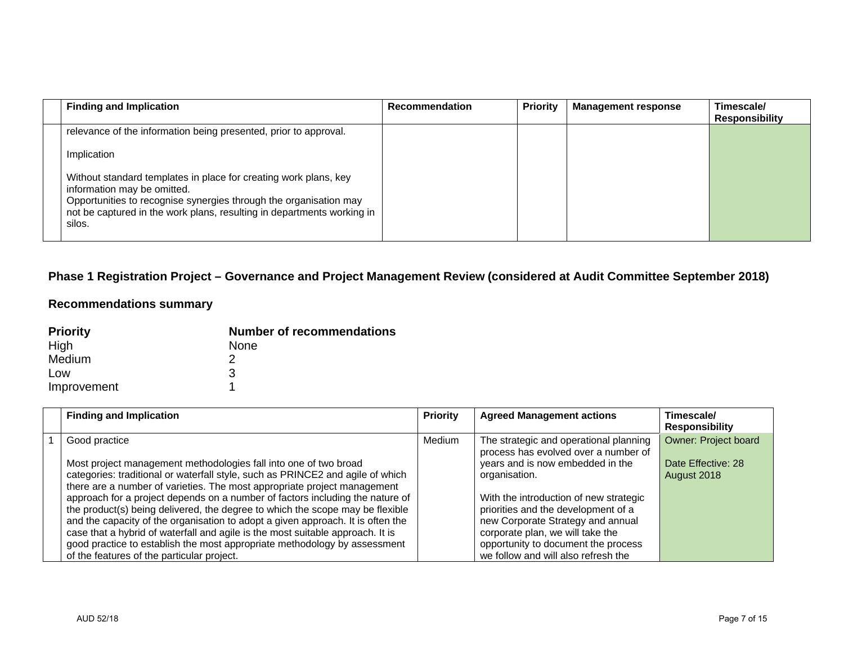| <b>Finding and Implication</b>                                                                                                                                                                                                                           | <b>Recommendation</b> | <b>Priority</b> | <b>Management response</b> | Timescale/<br><b>Responsibility</b> |
|----------------------------------------------------------------------------------------------------------------------------------------------------------------------------------------------------------------------------------------------------------|-----------------------|-----------------|----------------------------|-------------------------------------|
| relevance of the information being presented, prior to approval.                                                                                                                                                                                         |                       |                 |                            |                                     |
| Implication                                                                                                                                                                                                                                              |                       |                 |                            |                                     |
| Without standard templates in place for creating work plans, key<br>information may be omitted.<br>Opportunities to recognise synergies through the organisation may<br>not be captured in the work plans, resulting in departments working in<br>silos. |                       |                 |                            |                                     |

## **Phase 1 Registration Project – Governance and Project Management Review (considered at Audit Committee September 2018)**

## **Recommendations summary**

| <b>Priority</b> | <b>Number of recommendations</b> |
|-----------------|----------------------------------|
| High            | <b>None</b>                      |
| Medium          |                                  |
| Low             | З                                |
| Improvement     |                                  |

| <b>Finding and Implication</b>                                                  | <b>Priority</b> | <b>Agreed Management actions</b>                                               | Timescale/<br><b>Responsibility</b> |
|---------------------------------------------------------------------------------|-----------------|--------------------------------------------------------------------------------|-------------------------------------|
| Good practice                                                                   | Medium          | The strategic and operational planning<br>process has evolved over a number of | <b>Owner: Project board</b>         |
| Most project management methodologies fall into one of two broad                |                 | years and is now embedded in the                                               | Date Effective: 28                  |
| categories: traditional or waterfall style, such as PRINCE2 and agile of which  |                 | organisation.                                                                  | August 2018                         |
| there are a number of varieties. The most appropriate project management        |                 |                                                                                |                                     |
| approach for a project depends on a number of factors including the nature of   |                 | With the introduction of new strategic                                         |                                     |
| the product(s) being delivered, the degree to which the scope may be flexible   |                 | priorities and the development of a                                            |                                     |
| and the capacity of the organisation to adopt a given approach. It is often the |                 | new Corporate Strategy and annual                                              |                                     |
| case that a hybrid of waterfall and agile is the most suitable approach. It is  |                 | corporate plan, we will take the                                               |                                     |
| good practice to establish the most appropriate methodology by assessment       |                 | opportunity to document the process                                            |                                     |
| of the features of the particular project.                                      |                 | we follow and will also refresh the                                            |                                     |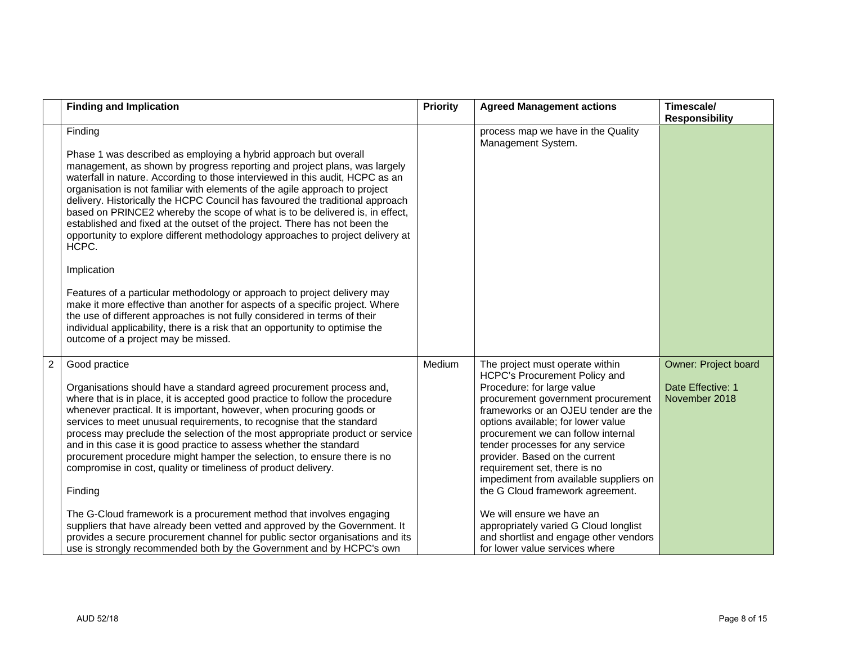|                | <b>Finding and Implication</b>                                                                                                                                                                                                                                                                                                                                                                                                                                                                                                                                                                                                                                                                                                                                                                                                                                                                                                                                                                                                                     | <b>Priority</b> | <b>Agreed Management actions</b>                                                                                                                                                                                                                                                                                                                                                                                                                                                                                                                                                               | Timescale/<br><b>Responsibility</b>                        |
|----------------|----------------------------------------------------------------------------------------------------------------------------------------------------------------------------------------------------------------------------------------------------------------------------------------------------------------------------------------------------------------------------------------------------------------------------------------------------------------------------------------------------------------------------------------------------------------------------------------------------------------------------------------------------------------------------------------------------------------------------------------------------------------------------------------------------------------------------------------------------------------------------------------------------------------------------------------------------------------------------------------------------------------------------------------------------|-----------------|------------------------------------------------------------------------------------------------------------------------------------------------------------------------------------------------------------------------------------------------------------------------------------------------------------------------------------------------------------------------------------------------------------------------------------------------------------------------------------------------------------------------------------------------------------------------------------------------|------------------------------------------------------------|
|                | Finding<br>Phase 1 was described as employing a hybrid approach but overall<br>management, as shown by progress reporting and project plans, was largely<br>waterfall in nature. According to those interviewed in this audit, HCPC as an<br>organisation is not familiar with elements of the agile approach to project<br>delivery. Historically the HCPC Council has favoured the traditional approach<br>based on PRINCE2 whereby the scope of what is to be delivered is, in effect,<br>established and fixed at the outset of the project. There has not been the<br>opportunity to explore different methodology approaches to project delivery at<br>HCPC.<br>Implication<br>Features of a particular methodology or approach to project delivery may<br>make it more effective than another for aspects of a specific project. Where<br>the use of different approaches is not fully considered in terms of their<br>individual applicability, there is a risk that an opportunity to optimise the<br>outcome of a project may be missed. |                 | process map we have in the Quality<br>Management System.                                                                                                                                                                                                                                                                                                                                                                                                                                                                                                                                       |                                                            |
| $\overline{2}$ | Good practice<br>Organisations should have a standard agreed procurement process and,<br>where that is in place, it is accepted good practice to follow the procedure<br>whenever practical. It is important, however, when procuring goods or<br>services to meet unusual requirements, to recognise that the standard<br>process may preclude the selection of the most appropriate product or service<br>and in this case it is good practice to assess whether the standard<br>procurement procedure might hamper the selection, to ensure there is no<br>compromise in cost, quality or timeliness of product delivery.<br>Finding<br>The G-Cloud framework is a procurement method that involves engaging<br>suppliers that have already been vetted and approved by the Government. It<br>provides a secure procurement channel for public sector organisations and its<br>use is strongly recommended both by the Government and by HCPC's own                                                                                             | Medium          | The project must operate within<br>HCPC's Procurement Policy and<br>Procedure: for large value<br>procurement government procurement<br>frameworks or an OJEU tender are the<br>options available; for lower value<br>procurement we can follow internal<br>tender processes for any service<br>provider. Based on the current<br>requirement set, there is no<br>impediment from available suppliers on<br>the G Cloud framework agreement.<br>We will ensure we have an<br>appropriately varied G Cloud longlist<br>and shortlist and engage other vendors<br>for lower value services where | Owner: Project board<br>Date Effective: 1<br>November 2018 |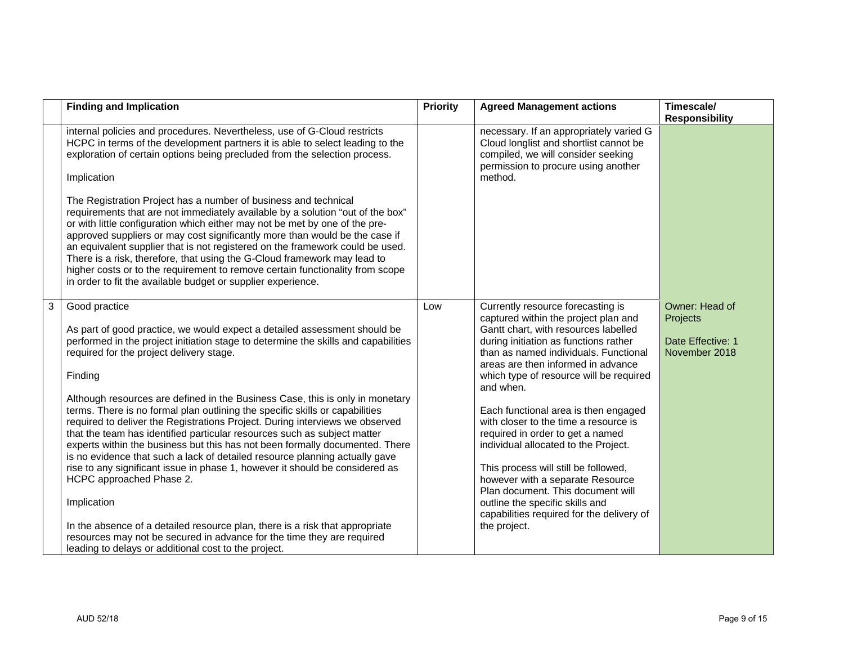|   | <b>Finding and Implication</b>                                                                                                                                                                                                                                                                                                                                                                                                                                                                                                                                                                                                                                                                                                                                                                                                                                                                                                                                                                                                                                                   | <b>Priority</b> | <b>Agreed Management actions</b>                                                                                                                                                                                                                                                                                                                                                                                                                                                                                                                                                                                                                                                | Timescale/<br><b>Responsibility</b>                              |
|---|----------------------------------------------------------------------------------------------------------------------------------------------------------------------------------------------------------------------------------------------------------------------------------------------------------------------------------------------------------------------------------------------------------------------------------------------------------------------------------------------------------------------------------------------------------------------------------------------------------------------------------------------------------------------------------------------------------------------------------------------------------------------------------------------------------------------------------------------------------------------------------------------------------------------------------------------------------------------------------------------------------------------------------------------------------------------------------|-----------------|---------------------------------------------------------------------------------------------------------------------------------------------------------------------------------------------------------------------------------------------------------------------------------------------------------------------------------------------------------------------------------------------------------------------------------------------------------------------------------------------------------------------------------------------------------------------------------------------------------------------------------------------------------------------------------|------------------------------------------------------------------|
|   | internal policies and procedures. Nevertheless, use of G-Cloud restricts<br>HCPC in terms of the development partners it is able to select leading to the<br>exploration of certain options being precluded from the selection process.<br>Implication                                                                                                                                                                                                                                                                                                                                                                                                                                                                                                                                                                                                                                                                                                                                                                                                                           |                 | necessary. If an appropriately varied G<br>Cloud longlist and shortlist cannot be<br>compiled, we will consider seeking<br>permission to procure using another<br>method.                                                                                                                                                                                                                                                                                                                                                                                                                                                                                                       |                                                                  |
|   | The Registration Project has a number of business and technical<br>requirements that are not immediately available by a solution "out of the box"<br>or with little configuration which either may not be met by one of the pre-<br>approved suppliers or may cost significantly more than would be the case if<br>an equivalent supplier that is not registered on the framework could be used.<br>There is a risk, therefore, that using the G-Cloud framework may lead to<br>higher costs or to the requirement to remove certain functionality from scope<br>in order to fit the available budget or supplier experience.                                                                                                                                                                                                                                                                                                                                                                                                                                                    |                 |                                                                                                                                                                                                                                                                                                                                                                                                                                                                                                                                                                                                                                                                                 |                                                                  |
| 3 | Good practice<br>As part of good practice, we would expect a detailed assessment should be<br>performed in the project initiation stage to determine the skills and capabilities<br>required for the project delivery stage.<br>Finding<br>Although resources are defined in the Business Case, this is only in monetary<br>terms. There is no formal plan outlining the specific skills or capabilities<br>required to deliver the Registrations Project. During interviews we observed<br>that the team has identified particular resources such as subject matter<br>experts within the business but this has not been formally documented. There<br>is no evidence that such a lack of detailed resource planning actually gave<br>rise to any significant issue in phase 1, however it should be considered as<br>HCPC approached Phase 2.<br>Implication<br>In the absence of a detailed resource plan, there is a risk that appropriate<br>resources may not be secured in advance for the time they are required<br>leading to delays or additional cost to the project. | Low             | Currently resource forecasting is<br>captured within the project plan and<br>Gantt chart, with resources labelled<br>during initiation as functions rather<br>than as named individuals. Functional<br>areas are then informed in advance<br>which type of resource will be required<br>and when.<br>Each functional area is then engaged<br>with closer to the time a resource is<br>required in order to get a named<br>individual allocated to the Project.<br>This process will still be followed,<br>however with a separate Resource<br>Plan document. This document will<br>outline the specific skills and<br>capabilities required for the delivery of<br>the project. | Owner: Head of<br>Projects<br>Date Effective: 1<br>November 2018 |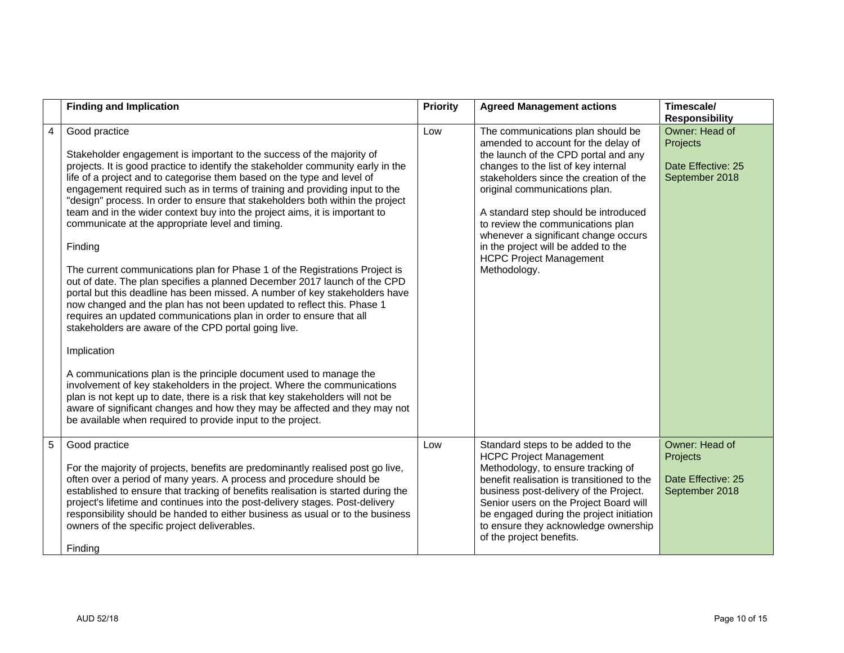|                | <b>Finding and Implication</b>                                                                                                                                                                                                                                                                                                                                                                                                                                                                                                                                                                                                                                                                                                                                                                                                                                                                                                                                                                                                                                                                                                                                                                                                                                                                                                                                                                                           | <b>Priority</b> | <b>Agreed Management actions</b>                                                                                                                                                                                                                                                                                                                                                                                                                 | Timescale/<br><b>Responsibility</b>                                |
|----------------|--------------------------------------------------------------------------------------------------------------------------------------------------------------------------------------------------------------------------------------------------------------------------------------------------------------------------------------------------------------------------------------------------------------------------------------------------------------------------------------------------------------------------------------------------------------------------------------------------------------------------------------------------------------------------------------------------------------------------------------------------------------------------------------------------------------------------------------------------------------------------------------------------------------------------------------------------------------------------------------------------------------------------------------------------------------------------------------------------------------------------------------------------------------------------------------------------------------------------------------------------------------------------------------------------------------------------------------------------------------------------------------------------------------------------|-----------------|--------------------------------------------------------------------------------------------------------------------------------------------------------------------------------------------------------------------------------------------------------------------------------------------------------------------------------------------------------------------------------------------------------------------------------------------------|--------------------------------------------------------------------|
| $\overline{4}$ | Good practice<br>Stakeholder engagement is important to the success of the majority of<br>projects. It is good practice to identify the stakeholder community early in the<br>life of a project and to categorise them based on the type and level of<br>engagement required such as in terms of training and providing input to the<br>"design" process. In order to ensure that stakeholders both within the project<br>team and in the wider context buy into the project aims, it is important to<br>communicate at the appropriate level and timing.<br>Finding<br>The current communications plan for Phase 1 of the Registrations Project is<br>out of date. The plan specifies a planned December 2017 launch of the CPD<br>portal but this deadline has been missed. A number of key stakeholders have<br>now changed and the plan has not been updated to reflect this. Phase 1<br>requires an updated communications plan in order to ensure that all<br>stakeholders are aware of the CPD portal going live.<br>Implication<br>A communications plan is the principle document used to manage the<br>involvement of key stakeholders in the project. Where the communications<br>plan is not kept up to date, there is a risk that key stakeholders will not be<br>aware of significant changes and how they may be affected and they may not<br>be available when required to provide input to the project. | Low             | The communications plan should be<br>amended to account for the delay of<br>the launch of the CPD portal and any<br>changes to the list of key internal<br>stakeholders since the creation of the<br>original communications plan.<br>A standard step should be introduced<br>to review the communications plan<br>whenever a significant change occurs<br>in the project will be added to the<br><b>HCPC Project Management</b><br>Methodology. | Owner: Head of<br>Projects<br>Date Effective: 25<br>September 2018 |
| 5              | Good practice<br>For the majority of projects, benefits are predominantly realised post go live,<br>often over a period of many years. A process and procedure should be<br>established to ensure that tracking of benefits realisation is started during the<br>project's lifetime and continues into the post-delivery stages. Post-delivery<br>responsibility should be handed to either business as usual or to the business<br>owners of the specific project deliverables.<br>Finding                                                                                                                                                                                                                                                                                                                                                                                                                                                                                                                                                                                                                                                                                                                                                                                                                                                                                                                              | Low             | Standard steps to be added to the<br><b>HCPC Project Management</b><br>Methodology, to ensure tracking of<br>benefit realisation is transitioned to the<br>business post-delivery of the Project.<br>Senior users on the Project Board will<br>be engaged during the project initiation<br>to ensure they acknowledge ownership<br>of the project benefits.                                                                                      | Owner: Head of<br>Projects<br>Date Effective: 25<br>September 2018 |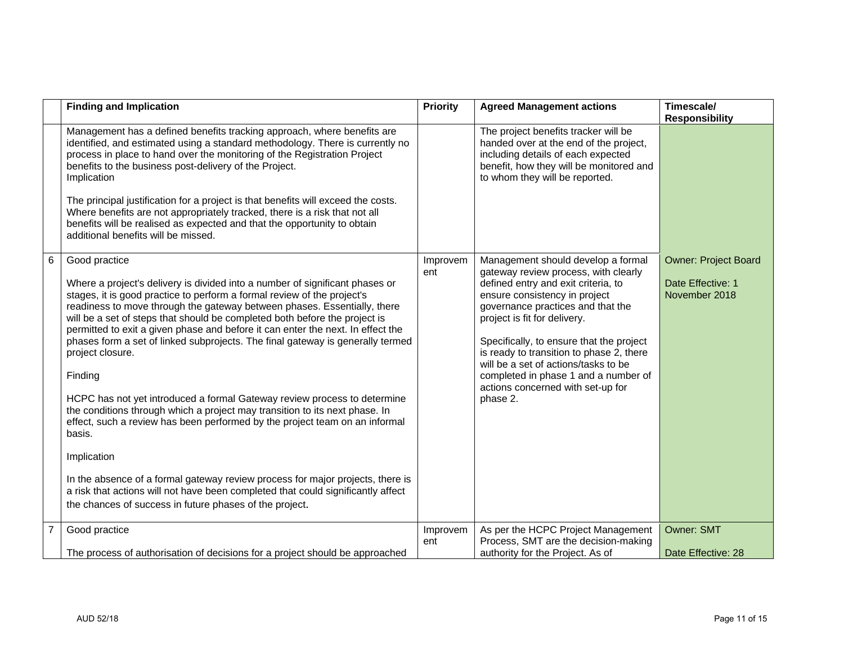|                | <b>Finding and Implication</b>                                                                                                                                                                                                                                                                                                                                                                                                                                                                                                                                                                                                                                                                                                                                                                                                                                                                                                                                                                                                             | Priority        | <b>Agreed Management actions</b>                                                                                                                                                                                                                                                                                                                                                                                                                 | Timescale/<br><b>Responsibility</b>                               |
|----------------|--------------------------------------------------------------------------------------------------------------------------------------------------------------------------------------------------------------------------------------------------------------------------------------------------------------------------------------------------------------------------------------------------------------------------------------------------------------------------------------------------------------------------------------------------------------------------------------------------------------------------------------------------------------------------------------------------------------------------------------------------------------------------------------------------------------------------------------------------------------------------------------------------------------------------------------------------------------------------------------------------------------------------------------------|-----------------|--------------------------------------------------------------------------------------------------------------------------------------------------------------------------------------------------------------------------------------------------------------------------------------------------------------------------------------------------------------------------------------------------------------------------------------------------|-------------------------------------------------------------------|
|                | Management has a defined benefits tracking approach, where benefits are<br>identified, and estimated using a standard methodology. There is currently no<br>process in place to hand over the monitoring of the Registration Project<br>benefits to the business post-delivery of the Project.<br>Implication<br>The principal justification for a project is that benefits will exceed the costs.<br>Where benefits are not appropriately tracked, there is a risk that not all<br>benefits will be realised as expected and that the opportunity to obtain<br>additional benefits will be missed.                                                                                                                                                                                                                                                                                                                                                                                                                                        |                 | The project benefits tracker will be<br>handed over at the end of the project,<br>including details of each expected<br>benefit, how they will be monitored and<br>to whom they will be reported.                                                                                                                                                                                                                                                |                                                                   |
| 6              | Good practice<br>Where a project's delivery is divided into a number of significant phases or<br>stages, it is good practice to perform a formal review of the project's<br>readiness to move through the gateway between phases. Essentially, there<br>will be a set of steps that should be completed both before the project is<br>permitted to exit a given phase and before it can enter the next. In effect the<br>phases form a set of linked subprojects. The final gateway is generally termed<br>project closure.<br>Finding<br>HCPC has not yet introduced a formal Gateway review process to determine<br>the conditions through which a project may transition to its next phase. In<br>effect, such a review has been performed by the project team on an informal<br>basis.<br>Implication<br>In the absence of a formal gateway review process for major projects, there is<br>a risk that actions will not have been completed that could significantly affect<br>the chances of success in future phases of the project. | Improvem<br>ent | Management should develop a formal<br>gateway review process, with clearly<br>defined entry and exit criteria, to<br>ensure consistency in project<br>governance practices and that the<br>project is fit for delivery.<br>Specifically, to ensure that the project<br>is ready to transition to phase 2, there<br>will be a set of actions/tasks to be<br>completed in phase 1 and a number of<br>actions concerned with set-up for<br>phase 2. | <b>Owner: Project Board</b><br>Date Effective: 1<br>November 2018 |
| $\overline{7}$ | Good practice                                                                                                                                                                                                                                                                                                                                                                                                                                                                                                                                                                                                                                                                                                                                                                                                                                                                                                                                                                                                                              | Improvem<br>ent | As per the HCPC Project Management<br>Process, SMT are the decision-making                                                                                                                                                                                                                                                                                                                                                                       | <b>Owner: SMT</b>                                                 |
|                | The process of authorisation of decisions for a project should be approached                                                                                                                                                                                                                                                                                                                                                                                                                                                                                                                                                                                                                                                                                                                                                                                                                                                                                                                                                               |                 | authority for the Project. As of                                                                                                                                                                                                                                                                                                                                                                                                                 | Date Effective: 28                                                |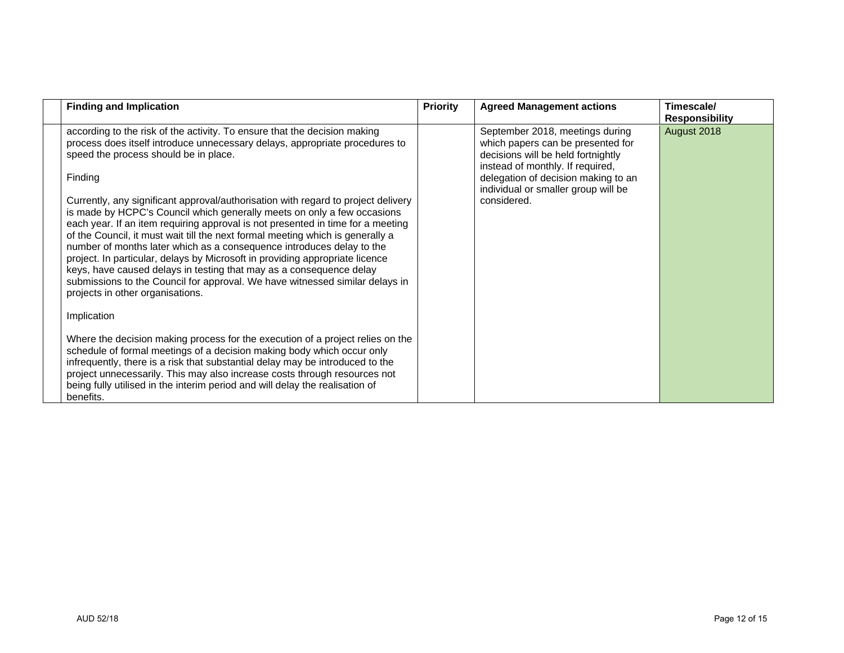| <b>Finding and Implication</b>                                                                                                                                                                                                                                                                                                                                                                                                                                                                                                                                                                                                                                                                                                                                                                                                                                                                                                                                                                                                                                                                                                                                                                                                                                                                                                              | <b>Priority</b> | <b>Agreed Management actions</b>                                                                                                                                                                                                            | Timescale/<br><b>Responsibility</b> |
|---------------------------------------------------------------------------------------------------------------------------------------------------------------------------------------------------------------------------------------------------------------------------------------------------------------------------------------------------------------------------------------------------------------------------------------------------------------------------------------------------------------------------------------------------------------------------------------------------------------------------------------------------------------------------------------------------------------------------------------------------------------------------------------------------------------------------------------------------------------------------------------------------------------------------------------------------------------------------------------------------------------------------------------------------------------------------------------------------------------------------------------------------------------------------------------------------------------------------------------------------------------------------------------------------------------------------------------------|-----------------|---------------------------------------------------------------------------------------------------------------------------------------------------------------------------------------------------------------------------------------------|-------------------------------------|
| according to the risk of the activity. To ensure that the decision making<br>process does itself introduce unnecessary delays, appropriate procedures to<br>speed the process should be in place.<br>Finding<br>Currently, any significant approval/authorisation with regard to project delivery<br>is made by HCPC's Council which generally meets on only a few occasions<br>each year. If an item requiring approval is not presented in time for a meeting<br>of the Council, it must wait till the next formal meeting which is generally a<br>number of months later which as a consequence introduces delay to the<br>project. In particular, delays by Microsoft in providing appropriate licence<br>keys, have caused delays in testing that may as a consequence delay<br>submissions to the Council for approval. We have witnessed similar delays in<br>projects in other organisations.<br>Implication<br>Where the decision making process for the execution of a project relies on the<br>schedule of formal meetings of a decision making body which occur only<br>infrequently, there is a risk that substantial delay may be introduced to the<br>project unnecessarily. This may also increase costs through resources not<br>being fully utilised in the interim period and will delay the realisation of<br>benefits. |                 | September 2018, meetings during<br>which papers can be presented for<br>decisions will be held fortnightly<br>instead of monthly. If required,<br>delegation of decision making to an<br>individual or smaller group will be<br>considered. | August 2018                         |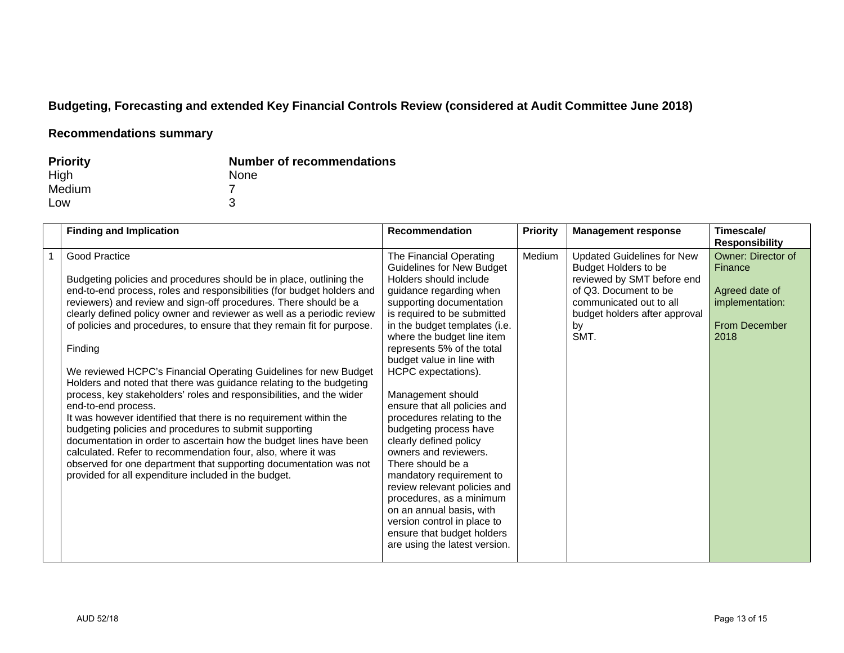# **Budgeting, Forecasting and extended Key Financial Controls Review (considered at Audit Committee June 2018)**

## **Recommendations summary**

| <b>Priority</b> | <b>Number of recommendations</b> |
|-----------------|----------------------------------|
| High            | <b>None</b>                      |
| Medium          |                                  |
| Low             |                                  |

| <b>Finding and Implication</b>                                                                                                                                                                                                                                                                                                                                                                                                                                                                                                                                                                                                                                                                                                                                                                                                                                                                                                                                                                                                                 | <b>Recommendation</b>                                                                                                                                                                                                                                                                                                                                                                                                                                                                                                                                                                                                                                                                                                               | <b>Priority</b> | <b>Management response</b>                                                                                                                                                                        | Timescale/<br><b>Responsibility</b>                                                                       |
|------------------------------------------------------------------------------------------------------------------------------------------------------------------------------------------------------------------------------------------------------------------------------------------------------------------------------------------------------------------------------------------------------------------------------------------------------------------------------------------------------------------------------------------------------------------------------------------------------------------------------------------------------------------------------------------------------------------------------------------------------------------------------------------------------------------------------------------------------------------------------------------------------------------------------------------------------------------------------------------------------------------------------------------------|-------------------------------------------------------------------------------------------------------------------------------------------------------------------------------------------------------------------------------------------------------------------------------------------------------------------------------------------------------------------------------------------------------------------------------------------------------------------------------------------------------------------------------------------------------------------------------------------------------------------------------------------------------------------------------------------------------------------------------------|-----------------|---------------------------------------------------------------------------------------------------------------------------------------------------------------------------------------------------|-----------------------------------------------------------------------------------------------------------|
| Good Practice<br>Budgeting policies and procedures should be in place, outlining the<br>end-to-end process, roles and responsibilities (for budget holders and<br>reviewers) and review and sign-off procedures. There should be a<br>clearly defined policy owner and reviewer as well as a periodic review<br>of policies and procedures, to ensure that they remain fit for purpose.<br>Finding<br>We reviewed HCPC's Financial Operating Guidelines for new Budget<br>Holders and noted that there was guidance relating to the budgeting<br>process, key stakeholders' roles and responsibilities, and the wider<br>end-to-end process.<br>It was however identified that there is no requirement within the<br>budgeting policies and procedures to submit supporting<br>documentation in order to ascertain how the budget lines have been<br>calculated. Refer to recommendation four, also, where it was<br>observed for one department that supporting documentation was not<br>provided for all expenditure included in the budget. | The Financial Operating<br><b>Guidelines for New Budget</b><br>Holders should include<br>guidance regarding when<br>supporting documentation<br>is required to be submitted<br>in the budget templates (i.e.<br>where the budget line item<br>represents 5% of the total<br>budget value in line with<br>HCPC expectations).<br>Management should<br>ensure that all policies and<br>procedures relating to the<br>budgeting process have<br>clearly defined policy<br>owners and reviewers.<br>There should be a<br>mandatory requirement to<br>review relevant policies and<br>procedures, as a minimum<br>on an annual basis, with<br>version control in place to<br>ensure that budget holders<br>are using the latest version. | Medium          | <b>Updated Guidelines for New</b><br><b>Budget Holders to be</b><br>reviewed by SMT before end<br>of Q3. Document to be<br>communicated out to all<br>budget holders after approval<br>by<br>SMT. | <b>Owner: Director of</b><br>Finance<br>Agreed date of<br>implementation:<br><b>From December</b><br>2018 |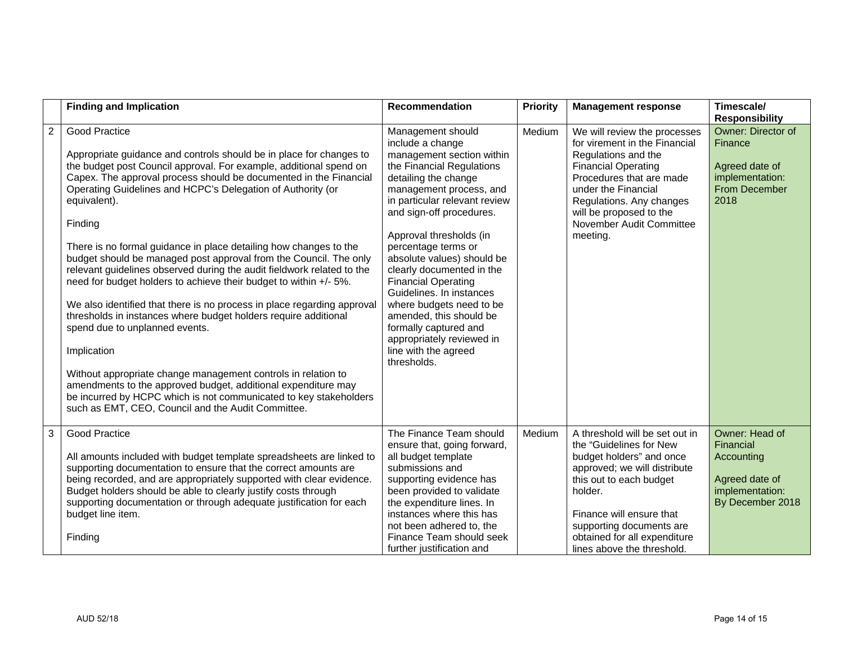|                | <b>Finding and Implication</b>                                                                                                                                                                                                                                                                                                                                                                                                                                                                                                                                                                                                                                                                                                                                                                                                                                                                                                                                                                                                                                                        | <b>Recommendation</b>                                                                                                                                                                                                                                                                                                                                                                                                                                                                                                                      | Priority | <b>Management response</b>                                                                                                                                                                                                                                                        | Timescale/<br><b>Responsibility</b>                                                                |
|----------------|---------------------------------------------------------------------------------------------------------------------------------------------------------------------------------------------------------------------------------------------------------------------------------------------------------------------------------------------------------------------------------------------------------------------------------------------------------------------------------------------------------------------------------------------------------------------------------------------------------------------------------------------------------------------------------------------------------------------------------------------------------------------------------------------------------------------------------------------------------------------------------------------------------------------------------------------------------------------------------------------------------------------------------------------------------------------------------------|--------------------------------------------------------------------------------------------------------------------------------------------------------------------------------------------------------------------------------------------------------------------------------------------------------------------------------------------------------------------------------------------------------------------------------------------------------------------------------------------------------------------------------------------|----------|-----------------------------------------------------------------------------------------------------------------------------------------------------------------------------------------------------------------------------------------------------------------------------------|----------------------------------------------------------------------------------------------------|
| $\overline{2}$ | <b>Good Practice</b><br>Appropriate guidance and controls should be in place for changes to<br>the budget post Council approval. For example, additional spend on<br>Capex. The approval process should be documented in the Financial<br>Operating Guidelines and HCPC's Delegation of Authority (or<br>equivalent).<br>Finding<br>There is no formal guidance in place detailing how changes to the<br>budget should be managed post approval from the Council. The only<br>relevant guidelines observed during the audit fieldwork related to the<br>need for budget holders to achieve their budget to within +/- 5%.<br>We also identified that there is no process in place regarding approval<br>thresholds in instances where budget holders require additional<br>spend due to unplanned events.<br>Implication<br>Without appropriate change management controls in relation to<br>amendments to the approved budget, additional expenditure may<br>be incurred by HCPC which is not communicated to key stakeholders<br>such as EMT, CEO, Council and the Audit Committee. | Management should<br>include a change<br>management section within<br>the Financial Regulations<br>detailing the change<br>management process, and<br>in particular relevant review<br>and sign-off procedures.<br>Approval thresholds (in<br>percentage terms or<br>absolute values) should be<br>clearly documented in the<br><b>Financial Operating</b><br>Guidelines. In instances<br>where budgets need to be<br>amended, this should be<br>formally captured and<br>appropriately reviewed in<br>line with the agreed<br>thresholds. | Medium   | We will review the processes<br>for virement in the Financial<br>Regulations and the<br><b>Financial Operating</b><br>Procedures that are made<br>under the Financial<br>Regulations. Any changes<br>will be proposed to the<br>November Audit Committee<br>meeting.              | Owner: Director of<br>Finance<br>Agreed date of<br>implementation:<br>From December<br>2018        |
| $\overline{3}$ | <b>Good Practice</b><br>All amounts included with budget template spreadsheets are linked to<br>supporting documentation to ensure that the correct amounts are<br>being recorded, and are appropriately supported with clear evidence.<br>Budget holders should be able to clearly justify costs through<br>supporting documentation or through adequate justification for each<br>budget line item.<br>Finding                                                                                                                                                                                                                                                                                                                                                                                                                                                                                                                                                                                                                                                                      | The Finance Team should<br>ensure that, going forward,<br>all budget template<br>submissions and<br>supporting evidence has<br>been provided to validate<br>the expenditure lines. In<br>instances where this has<br>not been adhered to, the<br>Finance Team should seek<br>further justification and                                                                                                                                                                                                                                     | Medium   | A threshold will be set out in<br>the "Guidelines for New<br>budget holders" and once<br>approved; we will distribute<br>this out to each budget<br>holder.<br>Finance will ensure that<br>supporting documents are<br>obtained for all expenditure<br>lines above the threshold. | Owner: Head of<br>Financial<br>Accounting<br>Agreed date of<br>implementation:<br>By December 2018 |